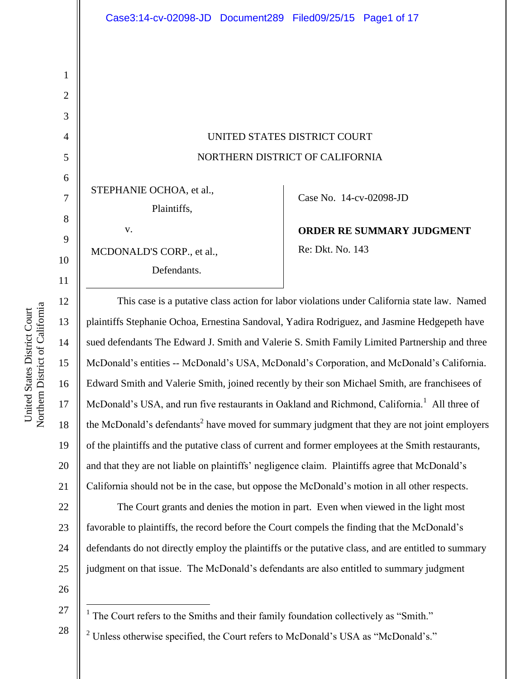# UNITED STATES DISTRICT COURT NORTHERN DISTRICT OF CALIFORNIA

STEPHANIE OCHOA, et al.,

Plaintiffs,

v. MCDONALD'S CORP., et al., Defendants.

Case No. 14-cv-02098-JD

**ORDER RE SUMMARY JUDGMENT** Re: Dkt. No. 143

This case is a putative class action for labor violations under California state law. Named plaintiffs Stephanie Ochoa, Ernestina Sandoval, Yadira Rodriguez, and Jasmine Hedgepeth have sued defendants The Edward J. Smith and Valerie S. Smith Family Limited Partnership and three McDonald's entities -- McDonald's USA, McDonald's Corporation, and McDonald's California. Edward Smith and Valerie Smith, joined recently by their son Michael Smith, are franchisees of McDonald's USA, and run five restaurants in Oakland and Richmond, California.<sup>1</sup> All three of the McDonald's defendants<sup>2</sup> have moved for summary judgment that they are not joint employers of the plaintiffs and the putative class of current and former employees at the Smith restaurants, and that they are not liable on plaintiffs' negligence claim. Plaintiffs agree that McDonald's California should not be in the case, but oppose the McDonald's motion in all other respects.

22 23 24 25 The Court grants and denies the motion in part. Even when viewed in the light most favorable to plaintiffs, the record before the Court compels the finding that the McDonald's defendants do not directly employ the plaintiffs or the putative class, and are entitled to summary judgment on that issue. The McDonald's defendants are also entitled to summary judgment

26

27

28

- $\overline{a}$ <sup>1</sup> The Court refers to the Smiths and their family foundation collectively as "Smith."
- $2$  Unless otherwise specified, the Court refers to McDonald's USA as "McDonald's."

1

2

3

4

5

6

7

8

9

10

11

12

13

14

15

16

17

18

19

20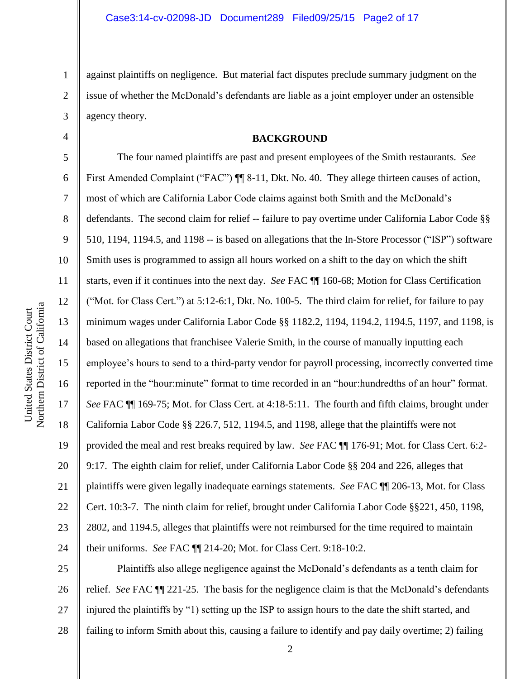against plaintiffs on negligence. But material fact disputes preclude summary judgment on the issue of whether the McDonald's defendants are liable as a joint employer under an ostensible agency theory.

#### **BACKGROUND**

6 7 10 16 20 22 24 The four named plaintiffs are past and present employees of the Smith restaurants. *See* First Amended Complaint ("FAC")  $\P$  8-11, Dkt. No. 40. They allege thirteen causes of action, most of which are California Labor Code claims against both Smith and the McDonald's defendants. The second claim for relief -- failure to pay overtime under California Labor Code §§ 510, 1194, 1194.5, and 1198 -- is based on allegations that the In-Store Processor ("ISP") software Smith uses is programmed to assign all hours worked on a shift to the day on which the shift starts, even if it continues into the next day. *See* FAC ¶¶ 160-68; Motion for Class Certification ("Mot. for Class Cert.") at 5:12-6:1, Dkt. No. 100-5. The third claim for relief, for failure to pay minimum wages under California Labor Code §§ 1182.2, 1194, 1194.2, 1194.5, 1197, and 1198, is based on allegations that franchisee Valerie Smith, in the course of manually inputting each employee's hours to send to a third-party vendor for payroll processing, incorrectly converted time reported in the "hour:minute" format to time recorded in an "hour:hundredths of an hour" format. *See* FAC ¶¶ 169-75; Mot. for Class Cert. at 4:18-5:11. The fourth and fifth claims, brought under California Labor Code §§ 226.7, 512, 1194.5, and 1198, allege that the plaintiffs were not provided the meal and rest breaks required by law. *See* FAC ¶¶ 176-91; Mot. for Class Cert. 6:2- 9:17. The eighth claim for relief, under California Labor Code §§ 204 and 226, alleges that plaintiffs were given legally inadequate earnings statements. *See* FAC ¶¶ 206-13, Mot. for Class Cert. 10:3-7. The ninth claim for relief, brought under California Labor Code §§221, 450, 1198, 2802, and 1194.5, alleges that plaintiffs were not reimbursed for the time required to maintain their uniforms. *See* FAC ¶¶ 214-20; Mot. for Class Cert. 9:18-10:2.

25 26 27 28 Plaintiffs also allege negligence against the McDonald's defendants as a tenth claim for relief. *See* FAC ¶¶ 221-25. The basis for the negligence claim is that the McDonald's defendants injured the plaintiffs by "1) setting up the ISP to assign hours to the date the shift started, and failing to inform Smith about this, causing a failure to identify and pay daily overtime; 2) failing

1

2

3

4

5

8

9

11

12

13

14

15

17

18

19

21

23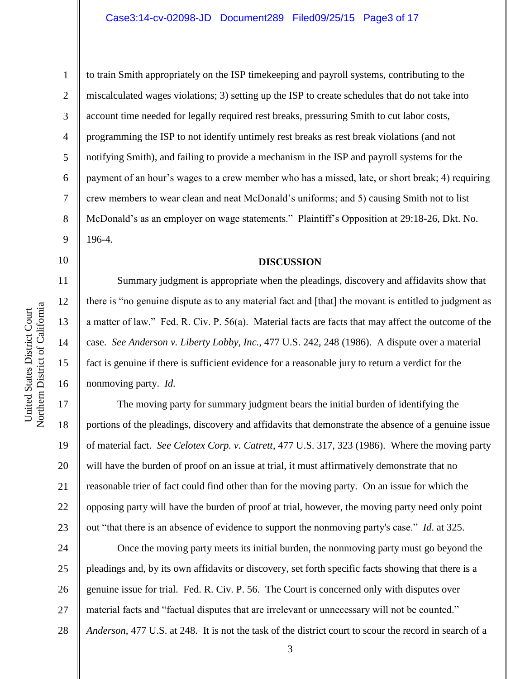2

3

4

5

6

7

8

9

14

15

16

to train Smith appropriately on the ISP timekeeping and payroll systems, contributing to the miscalculated wages violations; 3) setting up the ISP to create schedules that do not take into account time needed for legally required rest breaks, pressuring Smith to cut labor costs, programming the ISP to not identify untimely rest breaks as rest break violations (and not notifying Smith), and failing to provide a mechanism in the ISP and payroll systems for the payment of an hour's wages to a crew member who has a missed, late, or short break; 4) requiring crew members to wear clean and neat McDonald's uniforms; and 5) causing Smith not to list McDonald's as an employer on wage statements." Plaintiff's Opposition at 29:18-26, Dkt. No. 196-4.

#### **DISCUSSION**

Summary judgment is appropriate when the pleadings, discovery and affidavits show that there is "no genuine dispute as to any material fact and [that] the movant is entitled to judgment as a matter of law." Fed. R. Civ. P. 56(a). Material facts are facts that may affect the outcome of the case. *See Anderson v. Liberty Lobby, Inc.*, 477 U.S. 242, 248 (1986). A dispute over a material fact is genuine if there is sufficient evidence for a reasonable jury to return a verdict for the nonmoving party. *Id.*

17 18 19 20 21 22 23 The moving party for summary judgment bears the initial burden of identifying the portions of the pleadings, discovery and affidavits that demonstrate the absence of a genuine issue of material fact. *See Celotex Corp. v. Catrett*, 477 U.S. 317, 323 (1986). Where the moving party will have the burden of proof on an issue at trial, it must affirmatively demonstrate that no reasonable trier of fact could find other than for the moving party. On an issue for which the opposing party will have the burden of proof at trial, however, the moving party need only point out "that there is an absence of evidence to support the nonmoving party's case." *Id*. at 325.

24 25 26 27 28 Once the moving party meets its initial burden, the nonmoving party must go beyond the pleadings and, by its own affidavits or discovery, set forth specific facts showing that there is a genuine issue for trial. Fed. R. Civ. P. 56. The Court is concerned only with disputes over material facts and "factual disputes that are irrelevant or unnecessary will not be counted." *Anderson*, 477 U.S. at 248. It is not the task of the district court to scour the record in search of a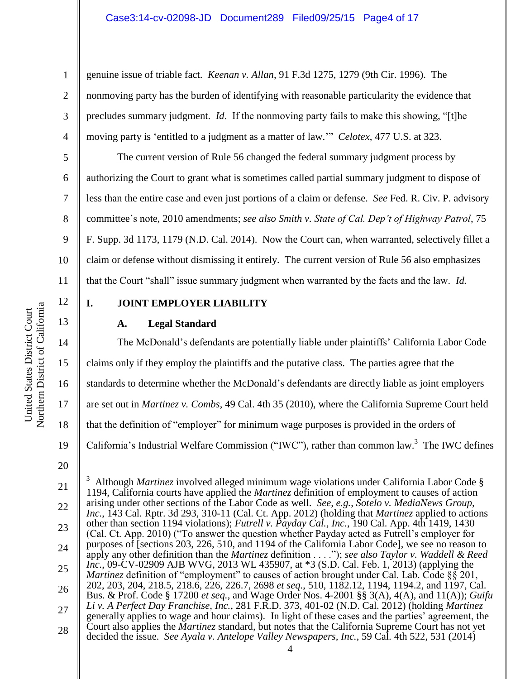genuine issue of triable fact. *Keenan v. Allan*, 91 F.3d 1275, 1279 (9th Cir. 1996). The nonmoving party has the burden of identifying with reasonable particularity the evidence that precludes summary judgment. *Id*. If the nonmoving party fails to make this showing, "[t]he moving party is 'entitled to a judgment as a matter of law.'" *Celotex*, 477 U.S. at 323.

The current version of Rule 56 changed the federal summary judgment process by authorizing the Court to grant what is sometimes called partial summary judgment to dispose of less than the entire case and even just portions of a claim or defense. *See* Fed. R. Civ. P. advisory committee's note, 2010 amendments; *see also Smith v. State of Cal. Dep't of Highway Patrol*, 75 F. Supp. 3d 1173, 1179 (N.D. Cal. 2014). Now the Court can, when warranted, selectively fillet a claim or defense without dismissing it entirely. The current version of Rule 56 also emphasizes that the Court "shall" issue summary judgment when warranted by the facts and the law. *Id.*

12

13

1

2

3

4

5

6

7

8

9

10

11

## **I. JOINT EMPLOYER LIABILITY**

#### **A. Legal Standard**

14 15 16 17 18 19 The McDonald's defendants are potentially liable under plaintiffs' California Labor Code claims only if they employ the plaintiffs and the putative class. The parties agree that the standards to determine whether the McDonald's defendants are directly liable as joint employers are set out in *Martinez v. Combs*, 49 Cal. 4th 35 (2010), where the California Supreme Court held that the definition of "employer" for minimum wage purposes is provided in the orders of California's Industrial Welfare Commission ("IWC"), rather than common law.<sup>3</sup> The IWC defines

 $\overline{a}$ 

<sup>20</sup>

<sup>21</sup> 22 23 24 25 26 27 28 <sup>3</sup> Although *Martinez* involved alleged minimum wage violations under California Labor Code § 1194, California courts have applied the *Martinez* definition of employment to causes of action arising under other sections of the Labor Code as well. *See, e.g.*, *Sotelo v. MediaNews Group, Inc.*, 143 Cal. Rptr. 3d 293, 310-11 (Cal. Ct. App. 2012) (holding that *Martinez* applied to actions other than section 1194 violations); *Futrell v. Payday Cal., Inc.*, 190 Cal. App. 4th 1419, 1430 (Cal. Ct. App. 2010) ("To answer the question whether Payday acted as Futrell's employer for purposes of [sections 203, 226, 510, and 1194 of the California Labor Code], we see no reason to apply any other definition than the *Martinez* definition . . . ."); *see also Taylor v. Waddell & Reed Inc.*, 09-CV-02909 AJB WVG, 2013 WL 435907, at \*3 (S.D. Cal. Feb. 1, 2013) (applying the *Martinez* definition of "employment" to causes of action brought under Cal. Lab. Code §§ 201, 202, 203, 204, 218.5, 218.6, 226, 226.7, 2698 *et seq.*, 510, 1182.12, 1194, 1194.2, and 1197, Cal. Bus. & Prof. Code § 17200 *et seq.*, and Wage Order Nos. 4-2001 §§ 3(A), 4(A), and 11(A)); *Guifu Li v. A Perfect Day Franchise, Inc.*, 281 F.R.D. 373, 401-02 (N.D. Cal. 2012) (holding *Martinez* generally applies to wage and hour claims). In light of these cases and the parties' agreement, the Court also applies the *Martinez* standard, but notes that the California Supreme Court has not yet decided the issue. *See Ayala v. Antelope Valley Newspapers, Inc.*, 59 Cal. 4th 522, 531 (2014)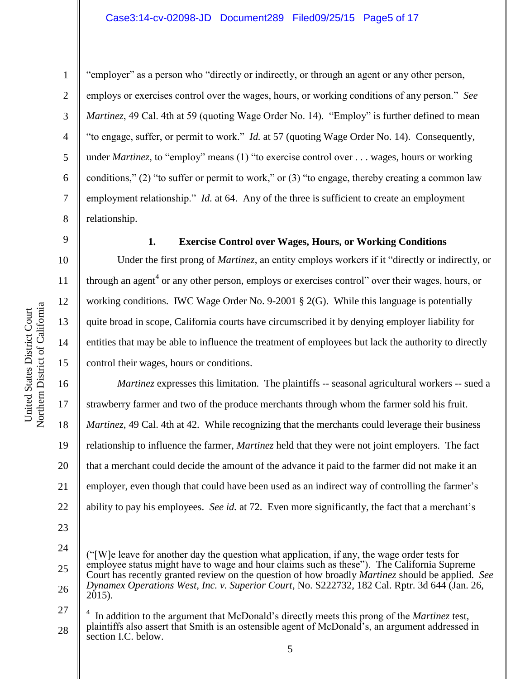2

3

4

5

6

7

8

9

10

11

12

13

14

15

"employer" as a person who "directly or indirectly, or through an agent or any other person, employs or exercises control over the wages, hours, or working conditions of any person." *See Martinez*, 49 Cal. 4th at 59 (quoting Wage Order No. 14). "Employ" is further defined to mean "to engage, suffer, or permit to work." *Id.* at 57 (quoting Wage Order No. 14). Consequently, under *Martinez*, to "employ" means (1) "to exercise control over . . . wages, hours or working conditions," (2) "to suffer or permit to work," or (3) "to engage, thereby creating a common law employment relationship." *Id.* at 64. Any of the three is sufficient to create an employment relationship.

**1. Exercise Control over Wages, Hours, or Working Conditions**

Under the first prong of *Martinez*, an entity employs workers if it "directly or indirectly, or through an agent<sup>4</sup> or any other person, employs or exercises control" over their wages, hours, or working conditions. IWC Wage Order No. 9-2001 § 2(G). While this language is potentially quite broad in scope, California courts have circumscribed it by denying employer liability for entities that may be able to influence the treatment of employees but lack the authority to directly control their wages, hours or conditions.

16 17 18 19 20 21 22 *Martinez* expresses this limitation. The plaintiffs -- seasonal agricultural workers -- sued a strawberry farmer and two of the produce merchants through whom the farmer sold his fruit. *Martinez*, 49 Cal. 4th at 42. While recognizing that the merchants could leverage their business relationship to influence the farmer, *Martinez* held that they were not joint employers. The fact that a merchant could decide the amount of the advance it paid to the farmer did not make it an employer, even though that could have been used as an indirect way of controlling the farmer's ability to pay his employees. *See id.* at 72. Even more significantly, the fact that a merchant's

<sup>23</sup>

<sup>24</sup>

<sup>25</sup> 26 ("[W]e leave for another day the question what application, if any, the wage order tests for employee status might have to wage and hour claims such as these"). The California Supreme Court has recently granted review on the question of how broadly *Martinez* should be applied. *See Dynamex Operations West, Inc. v. Superior Court*, No. S222732, 182 Cal. Rptr. 3d 644 (Jan. 26,  $2015$ ).

<sup>27</sup> 28 4 In addition to the argument that McDonald's directly meets this prong of the *Martinez* test, plaintiffs also assert that Smith is an ostensible agent of McDonald's, an argument addressed in section I.C. below.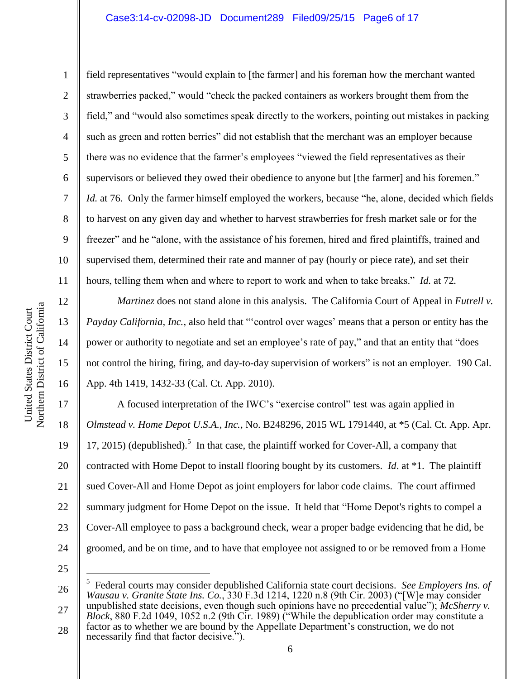field representatives "would explain to [the farmer] and his foreman how the merchant wanted strawberries packed," would "check the packed containers as workers brought them from the field," and "would also sometimes speak directly to the workers, pointing out mistakes in packing such as green and rotten berries" did not establish that the merchant was an employer because there was no evidence that the farmer's employees "viewed the field representatives as their supervisors or believed they owed their obedience to anyone but [the farmer] and his foremen." *Id.* at 76. Only the farmer himself employed the workers, because "he, alone, decided which fields to harvest on any given day and whether to harvest strawberries for fresh market sale or for the freezer" and he "alone, with the assistance of his foremen, hired and fired plaintiffs, trained and supervised them, determined their rate and manner of pay (hourly or piece rate), and set their hours, telling them when and where to report to work and when to take breaks." *Id.* at 72*.*

*Martinez* does not stand alone in this analysis. The California Court of Appeal in *Futrell v. Payday California, Inc.*, also held that "'control over wages' means that a person or entity has the power or authority to negotiate and set an employee's rate of pay," and that an entity that "does not control the hiring, firing, and day-to-day supervision of workers" is not an employer. 190 Cal. App. 4th 1419, 1432-33 (Cal. Ct. App. 2010).

A focused interpretation of the IWC's "exercise control" test was again applied in *Olmstead v. Home Depot U.S.A., Inc.*, No. B248296, 2015 WL 1791440, at \*5 (Cal. Ct. App. Apr. 17, 2015) (depublished).<sup>5</sup> In that case, the plaintiff worked for Cover-All, a company that contracted with Home Depot to install flooring bought by its customers. *Id*. at \*1. The plaintiff sued Cover-All and Home Depot as joint employers for labor code claims. The court affirmed summary judgment for Home Depot on the issue. It held that "Home Depot's rights to compel a Cover-All employee to pass a background check, wear a proper badge evidencing that he did, be groomed, and be on time, and to have that employee not assigned to or be removed from a Home

25

 $\overline{a}$ 

28 factor as to whether we are bound by the Appellate Department's construction, we do not necessarily find that factor decisive.<sup>"</sup>").

1

2

3

4

5

6

7

8

9

10

11

12

13

14

15

16

17

18

19

20

21

22

23

<sup>26</sup> 27 5 Federal courts may consider depublished California state court decisions. *See Employers Ins. of Wausau v. Granite State Ins. Co.*, 330 F.3d 1214, 1220 n.8 (9th Cir. 2003) ("[W]e may consider unpublished state decisions, even though such opinions have no precedential value"); *McSherry v. Block*, 880 F.2d 1049, 1052 n.2 (9th Cir. 1989) ("While the depublication order may constitute a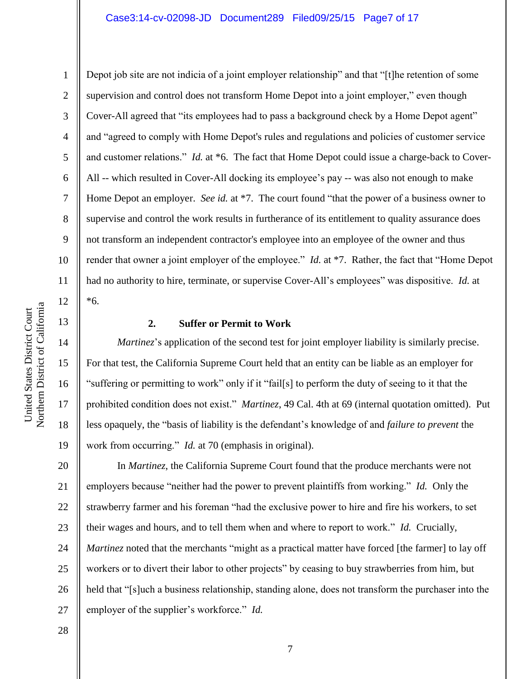1

2

Depot job site are not indicia of a joint employer relationship" and that "[t]he retention of some supervision and control does not transform Home Depot into a joint employer," even though Cover-All agreed that "its employees had to pass a background check by a Home Depot agent" and "agreed to comply with Home Depot's rules and regulations and policies of customer service and customer relations." *Id.* at \*6. The fact that Home Depot could issue a charge-back to Cover-All -- which resulted in Cover-All docking its employee's pay -- was also not enough to make Home Depot an employer. *See id.* at \*7. The court found "that the power of a business owner to supervise and control the work results in furtherance of its entitlement to quality assurance does not transform an independent contractor's employee into an employee of the owner and thus render that owner a joint employer of the employee." *Id.* at \*7. Rather, the fact that "Home Depot" had no authority to hire, terminate, or supervise Cover-All's employees" was dispositive. *Id.* at \*6.

#### **2. Suffer or Permit to Work**

*Martinez*'s application of the second test for joint employer liability is similarly precise. For that test, the California Supreme Court held that an entity can be liable as an employer for "suffering or permitting to work" only if it "fail[s] to perform the duty of seeing to it that the prohibited condition does not exist." *Martinez*, 49 Cal. 4th at 69 (internal quotation omitted). Put less opaquely, the "basis of liability is the defendant's knowledge of and *failure to prevent* the work from occurring." *Id.* at 70 (emphasis in original).

20 21 22 23 24 25 26 27 In *Martinez*, the California Supreme Court found that the produce merchants were not employers because "neither had the power to prevent plaintiffs from working." *Id.* Only the strawberry farmer and his foreman "had the exclusive power to hire and fire his workers, to set their wages and hours, and to tell them when and where to report to work." *Id.* Crucially, *Martinez* noted that the merchants "might as a practical matter have forced [the farmer] to lay off workers or to divert their labor to other projects" by ceasing to buy strawberries from him, but held that "[s]uch a business relationship, standing alone, does not transform the purchaser into the employer of the supplier's workforce." *Id.*

28

Northern District of California Northern District of California United States District Court United States District Court

15

16

17

18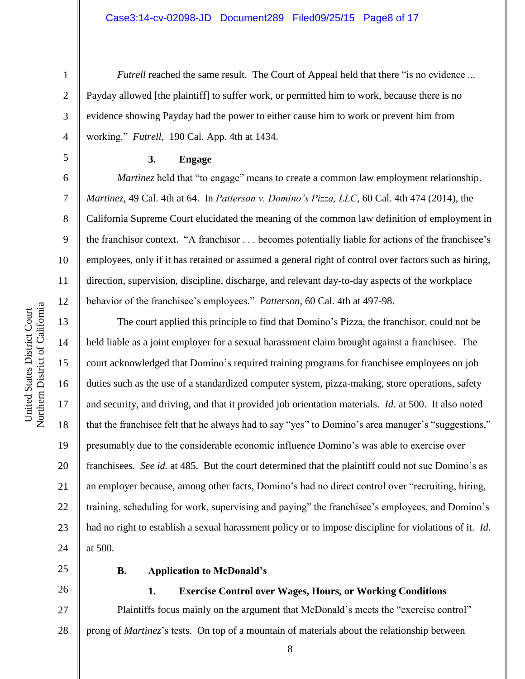*Futrell* reached the same result. The Court of Appeal held that there "is no evidence ... Payday allowed [the plaintiff] to suffer work, or permitted him to work, because there is no evidence showing Payday had the power to either cause him to work or prevent him from working." *Futrell*, 190 Cal. App. 4th at 1434.

#### **3. Engage**

*Martinez* held that "to engage" means to create a common law employment relationship. *Martinez*, 49 Cal. 4th at 64. In *Patterson v. Domino's Pizza, LLC*, 60 Cal. 4th 474 (2014), the California Supreme Court elucidated the meaning of the common law definition of employment in the franchisor context. "A franchisor . . . becomes potentially liable for actions of the franchisee's employees, only if it has retained or assumed a general right of control over factors such as hiring, direction, supervision, discipline, discharge, and relevant day-to-day aspects of the workplace behavior of the franchisee's employees." *Patterson*, 60 Cal. 4th at 497-98.

The court applied this principle to find that Domino's Pizza, the franchisor, could not be held liable as a joint employer for a sexual harassment claim brought against a franchisee. The court acknowledged that Domino's required training programs for franchisee employees on job duties such as the use of a standardized computer system, pizza-making, store operations, safety and security, and driving, and that it provided job orientation materials. *Id.* at 500. It also noted that the franchisee felt that he always had to say "yes" to Domino's area manager's "suggestions," presumably due to the considerable economic influence Domino's was able to exercise over franchisees. *See id.* at 485. But the court determined that the plaintiff could not sue Domino's as an employer because, among other facts, Domino's had no direct control over "recruiting, hiring, training, scheduling for work, supervising and paying" the franchisee's employees, and Domino's had no right to establish a sexual harassment policy or to impose discipline for violations of it. *Id.* at 500*.*

25

26

## **B. Application to McDonald's**

#### **1. Exercise Control over Wages, Hours, or Working Conditions**

27 28 Plaintiffs focus mainly on the argument that McDonald's meets the "exercise control" prong of *Martinez*'s tests. On top of a mountain of materials about the relationship between

1

2

3

4

5

6

7

8

9

10

11

12

13

14

15

16

17

18

19

20

21

22

23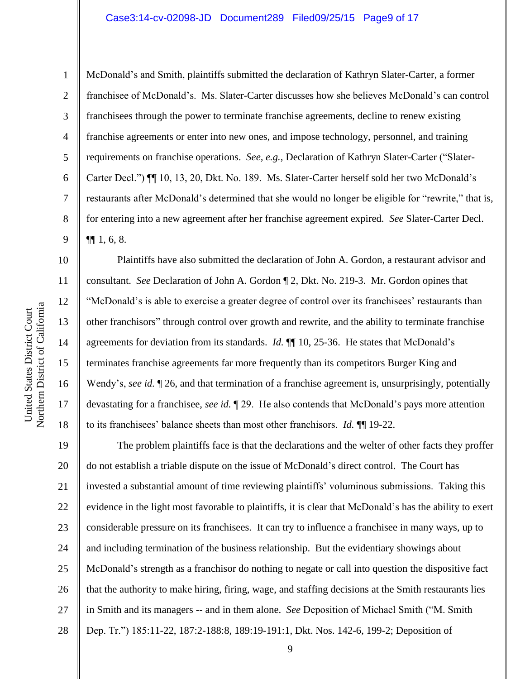#### Case3:14-cv-02098-JD Document289 Filed09/25/15 Page9 of 17

10

11

12

13

14

15

16

17

18

1 2 3 4 5 6 7 8 9 McDonald's and Smith, plaintiffs submitted the declaration of Kathryn Slater-Carter, a former franchisee of McDonald's. Ms. Slater-Carter discusses how she believes McDonald's can control franchisees through the power to terminate franchise agreements, decline to renew existing franchise agreements or enter into new ones, and impose technology, personnel, and training requirements on franchise operations. *See, e.g.*, Declaration of Kathryn Slater-Carter ("Slater-Carter Decl.") ¶¶ 10, 13, 20, Dkt. No. 189. Ms. Slater-Carter herself sold her two McDonald's restaurants after McDonald's determined that she would no longer be eligible for "rewrite," that is, for entering into a new agreement after her franchise agreement expired. *See* Slater-Carter Decl.  $\P\P 1, 6, 8.$ 

Plaintiffs have also submitted the declaration of John A. Gordon, a restaurant advisor and consultant. *See* Declaration of John A. Gordon ¶ 2, Dkt. No. 219-3. Mr. Gordon opines that "McDonald's is able to exercise a greater degree of control over its franchisees' restaurants than other franchisors" through control over growth and rewrite, and the ability to terminate franchise agreements for deviation from its standards. *Id.* ¶¶ 10, 25-36. He states that McDonald's terminates franchise agreements far more frequently than its competitors Burger King and Wendy's, *see id.* ¶ 26, and that termination of a franchise agreement is, unsurprisingly, potentially devastating for a franchisee, *see id.* ¶ 29. He also contends that McDonald's pays more attention to its franchisees' balance sheets than most other franchisors. *Id.* ¶¶ 19-22.

19 20 21 22 23 24 25 26 27 28 The problem plaintiffs face is that the declarations and the welter of other facts they proffer do not establish a triable dispute on the issue of McDonald's direct control. The Court has invested a substantial amount of time reviewing plaintiffs' voluminous submissions. Taking this evidence in the light most favorable to plaintiffs, it is clear that McDonald's has the ability to exert considerable pressure on its franchisees. It can try to influence a franchisee in many ways, up to and including termination of the business relationship. But the evidentiary showings about McDonald's strength as a franchisor do nothing to negate or call into question the dispositive fact that the authority to make hiring, firing, wage, and staffing decisions at the Smith restaurants lies in Smith and its managers -- and in them alone. *See* Deposition of Michael Smith ("M. Smith Dep. Tr.") 185:11-22, 187:2-188:8, 189:19-191:1, Dkt. Nos. 142-6, 199-2; Deposition of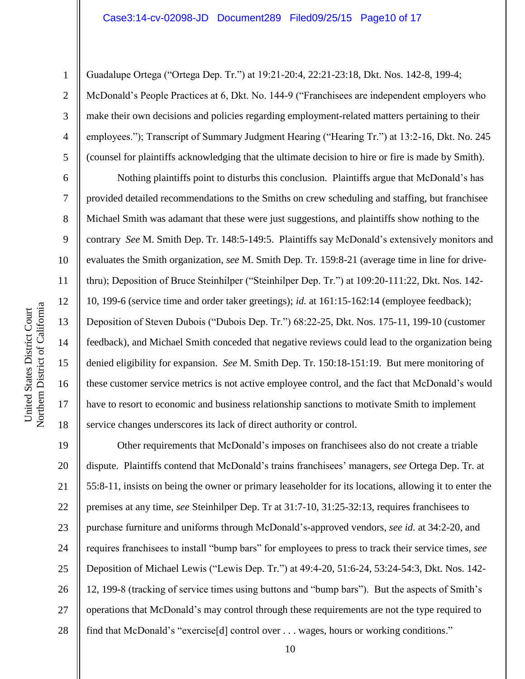Northern District of California Northern District of California United States District Court United States District Court

1

2

3

4

5

6

7

8

9

10

11

12

13

14

15

16

17

18

Guadalupe Ortega ("Ortega Dep. Tr.") at 19:21-20:4, 22:21-23:18, Dkt. Nos. 142-8, 199-4; McDonald's People Practices at 6, Dkt. No. 144-9 ("Franchisees are independent employers who make their own decisions and policies regarding employment-related matters pertaining to their employees."); Transcript of Summary Judgment Hearing ("Hearing Tr.") at 13:2-16, Dkt. No. 245 (counsel for plaintiffs acknowledging that the ultimate decision to hire or fire is made by Smith).

Nothing plaintiffs point to disturbs this conclusion. Plaintiffs argue that McDonald's has provided detailed recommendations to the Smiths on crew scheduling and staffing, but franchisee Michael Smith was adamant that these were just suggestions, and plaintiffs show nothing to the contrary *See* M. Smith Dep. Tr. 148:5-149:5. Plaintiffs say McDonald's extensively monitors and evaluates the Smith organization, *see* M. Smith Dep. Tr. 159:8-21 (average time in line for drivethru); Deposition of Bruce Steinhilper ("Steinhilper Dep. Tr.") at 109:20-111:22, Dkt. Nos. 142- 10, 199-6 (service time and order taker greetings); *id.* at 161:15-162:14 (employee feedback); Deposition of Steven Dubois ("Dubois Dep. Tr.") 68:22-25, Dkt. Nos. 175-11, 199-10 (customer feedback), and Michael Smith conceded that negative reviews could lead to the organization being denied eligibility for expansion. *See* M. Smith Dep. Tr. 150:18-151:19. But mere monitoring of these customer service metrics is not active employee control, and the fact that McDonald's would have to resort to economic and business relationship sanctions to motivate Smith to implement service changes underscores its lack of direct authority or control.

19 20 21 22 23 24 25 26 27 28 Other requirements that McDonald's imposes on franchisees also do not create a triable dispute. Plaintiffs contend that McDonald's trains franchisees' managers, *see* Ortega Dep. Tr. at 55:8-11, insists on being the owner or primary leaseholder for its locations, allowing it to enter the premises at any time, *see* Steinhilper Dep. Tr at 31:7-10, 31:25-32:13, requires franchisees to purchase furniture and uniforms through McDonald's-approved vendors, *see id.* at 34:2-20, and requires franchisees to install "bump bars" for employees to press to track their service times, *see*  Deposition of Michael Lewis ("Lewis Dep. Tr.") at 49:4-20, 51:6-24, 53:24-54:3, Dkt. Nos. 142- 12, 199-8 (tracking of service times using buttons and "bump bars"). But the aspects of Smith's operations that McDonald's may control through these requirements are not the type required to find that McDonald's "exercise[d] control over . . . wages, hours or working conditions."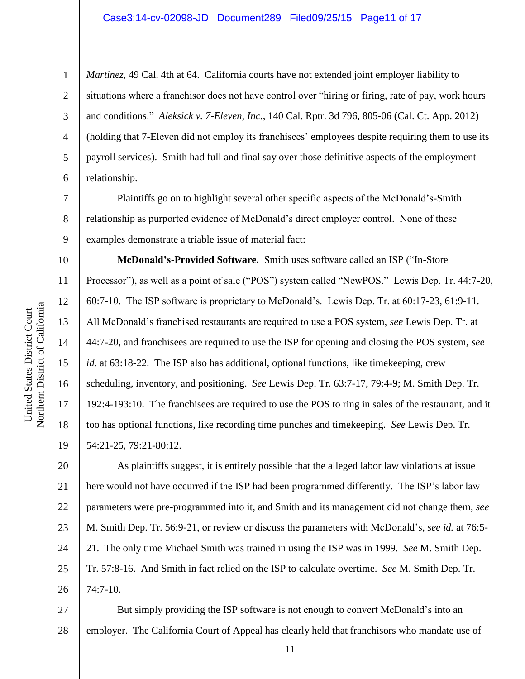## Case3:14-cv-02098-JD Document289 Filed09/25/15 Page11 of 17

*Martinez*, 49 Cal. 4th at 64. California courts have not extended joint employer liability to situations where a franchisor does not have control over "hiring or firing, rate of pay, work hours and conditions." *Aleksick v. 7-Eleven, Inc.*, 140 Cal. Rptr. 3d 796, 805-06 (Cal. Ct. App. 2012) (holding that 7-Eleven did not employ its franchisees' employees despite requiring them to use its payroll services). Smith had full and final say over those definitive aspects of the employment relationship.

Plaintiffs go on to highlight several other specific aspects of the McDonald's-Smith relationship as purported evidence of McDonald's direct employer control. None of these examples demonstrate a triable issue of material fact:

**McDonald's-Provided Software.** Smith uses software called an ISP ("In-Store Processor"), as well as a point of sale ("POS") system called "NewPOS." Lewis Dep. Tr. 44:7-20, 60:7-10. The ISP software is proprietary to McDonald's. Lewis Dep. Tr. at 60:17-23, 61:9-11. All McDonald's franchised restaurants are required to use a POS system, *see* Lewis Dep. Tr. at 44:7-20, and franchisees are required to use the ISP for opening and closing the POS system, *see id.* at 63:18-22. The ISP also has additional, optional functions, like timekeeping, crew scheduling, inventory, and positioning. *See* Lewis Dep. Tr. 63:7-17, 79:4-9; M. Smith Dep. Tr. 192:4-193:10. The franchisees are required to use the POS to ring in sales of the restaurant, and it too has optional functions, like recording time punches and timekeeping. *See* Lewis Dep. Tr. 54:21-25, 79:21-80:12.

20 21 22 23 24 25 26 As plaintiffs suggest, it is entirely possible that the alleged labor law violations at issue here would not have occurred if the ISP had been programmed differently. The ISP's labor law parameters were pre-programmed into it, and Smith and its management did not change them, *see* M. Smith Dep. Tr. 56:9-21, or review or discuss the parameters with McDonald's, *see id.* at 76:5- 21. The only time Michael Smith was trained in using the ISP was in 1999. *See* M. Smith Dep. Tr. 57:8-16. And Smith in fact relied on the ISP to calculate overtime. *See* M. Smith Dep. Tr. 74:7-10.

27 28 But simply providing the ISP software is not enough to convert McDonald's into an employer. The California Court of Appeal has clearly held that franchisors who mandate use of

1

2

3

4

5

6

7

8

9

10

11

12

13

14

15

16

17

18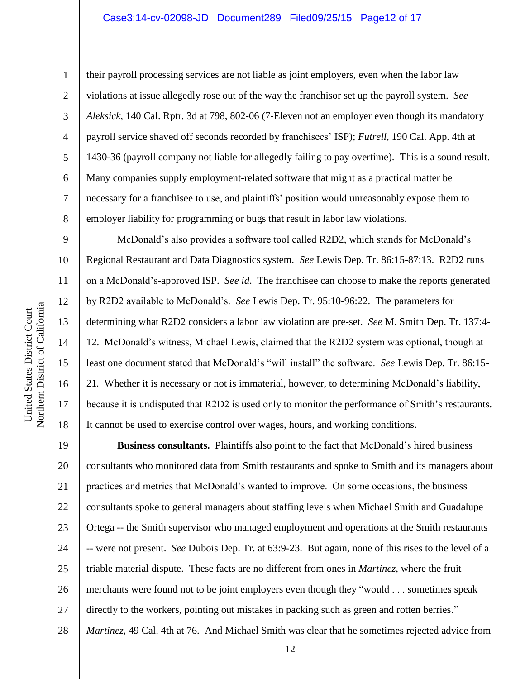# Case3:14-cv-02098-JD Document289 Filed09/25/15 Page12 of 17

Northern District of California Northern District of California United States District Court United States District Court

1

2

3

4

5

6

7

8

9

10

11

12

13

14

15

16

17

18

their payroll processing services are not liable as joint employers, even when the labor law violations at issue allegedly rose out of the way the franchisor set up the payroll system. *See Aleksick*, 140 Cal. Rptr. 3d at 798, 802-06 (7-Eleven not an employer even though its mandatory payroll service shaved off seconds recorded by franchisees' ISP); *Futrell*, 190 Cal. App. 4th at 1430-36 (payroll company not liable for allegedly failing to pay overtime). This is a sound result. Many companies supply employment-related software that might as a practical matter be necessary for a franchisee to use, and plaintiffs' position would unreasonably expose them to employer liability for programming or bugs that result in labor law violations.

McDonald's also provides a software tool called R2D2, which stands for McDonald's Regional Restaurant and Data Diagnostics system. *See* Lewis Dep. Tr. 86:15-87:13. R2D2 runs on a McDonald's-approved ISP. *See id*. The franchisee can choose to make the reports generated by R2D2 available to McDonald's. *See* Lewis Dep. Tr. 95:10-96:22. The parameters for determining what R2D2 considers a labor law violation are pre-set. *See* M. Smith Dep. Tr. 137:4- 12. McDonald's witness, Michael Lewis, claimed that the R2D2 system was optional, though at least one document stated that McDonald's "will install" the software. *See* Lewis Dep. Tr. 86:15- 21*.* Whether it is necessary or not is immaterial, however, to determining McDonald's liability, because it is undisputed that R2D2 is used only to monitor the performance of Smith's restaurants. It cannot be used to exercise control over wages, hours, and working conditions.

19 20 21 22 23 24 25 26 27 28 **Business consultants.** Plaintiffs also point to the fact that McDonald's hired business consultants who monitored data from Smith restaurants and spoke to Smith and its managers about practices and metrics that McDonald's wanted to improve. On some occasions, the business consultants spoke to general managers about staffing levels when Michael Smith and Guadalupe Ortega -- the Smith supervisor who managed employment and operations at the Smith restaurants -- were not present. *See* Dubois Dep. Tr. at 63:9-23. But again, none of this rises to the level of a triable material dispute. These facts are no different from ones in *Martinez*, where the fruit merchants were found not to be joint employers even though they "would . . . sometimes speak directly to the workers, pointing out mistakes in packing such as green and rotten berries." *Martinez*, 49 Cal. 4th at 76. And Michael Smith was clear that he sometimes rejected advice from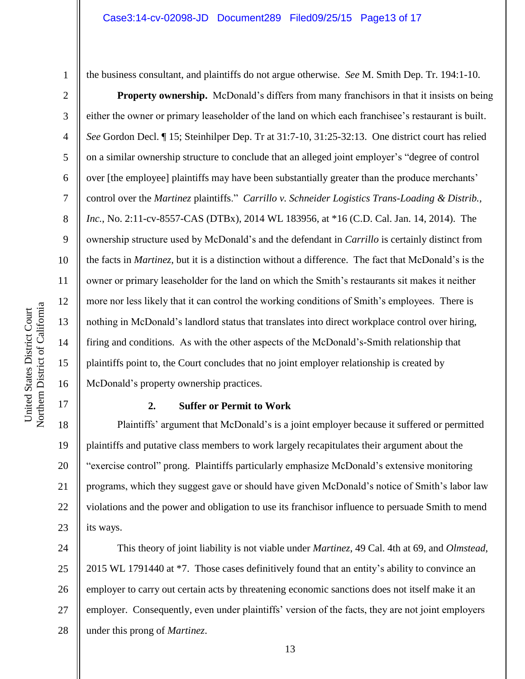2

3

4

5

6

7

8

9

10

11

12

13

14

15

16

17

the business consultant, and plaintiffs do not argue otherwise. *See* M. Smith Dep. Tr. 194:1-10.

**Property ownership.** McDonald's differs from many franchisors in that it insists on being either the owner or primary leaseholder of the land on which each franchisee's restaurant is built. *See* Gordon Decl. ¶ 15; Steinhilper Dep. Tr at 31:7-10, 31:25-32:13. One district court has relied on a similar ownership structure to conclude that an alleged joint employer's "degree of control over [the employee] plaintiffs may have been substantially greater than the produce merchants' control over the *Martinez* plaintiffs." *Carrillo v. Schneider Logistics Trans-Loading & Distrib., Inc.*, No. 2:11-cv-8557-CAS (DTBx), 2014 WL 183956, at \*16 (C.D. Cal. Jan. 14, 2014). The ownership structure used by McDonald's and the defendant in *Carrillo* is certainly distinct from the facts in *Martinez*, but it is a distinction without a difference. The fact that McDonald's is the owner or primary leaseholder for the land on which the Smith's restaurants sit makes it neither more nor less likely that it can control the working conditions of Smith's employees. There is nothing in McDonald's landlord status that translates into direct workplace control over hiring, firing and conditions. As with the other aspects of the McDonald's-Smith relationship that plaintiffs point to, the Court concludes that no joint employer relationship is created by McDonald's property ownership practices.

#### **2. Suffer or Permit to Work**

18 19 20 21 22 23 Plaintiffs' argument that McDonald's is a joint employer because it suffered or permitted plaintiffs and putative class members to work largely recapitulates their argument about the "exercise control" prong. Plaintiffs particularly emphasize McDonald's extensive monitoring programs, which they suggest gave or should have given McDonald's notice of Smith's labor law violations and the power and obligation to use its franchisor influence to persuade Smith to mend its ways.

24 25 26 27 28 This theory of joint liability is not viable under *Martinez*, 49 Cal. 4th at 69, and *Olmstead*, 2015 WL 1791440 at \*7. Those cases definitively found that an entity's ability to convince an employer to carry out certain acts by threatening economic sanctions does not itself make it an employer. Consequently, even under plaintiffs' version of the facts, they are not joint employers under this prong of *Martinez*.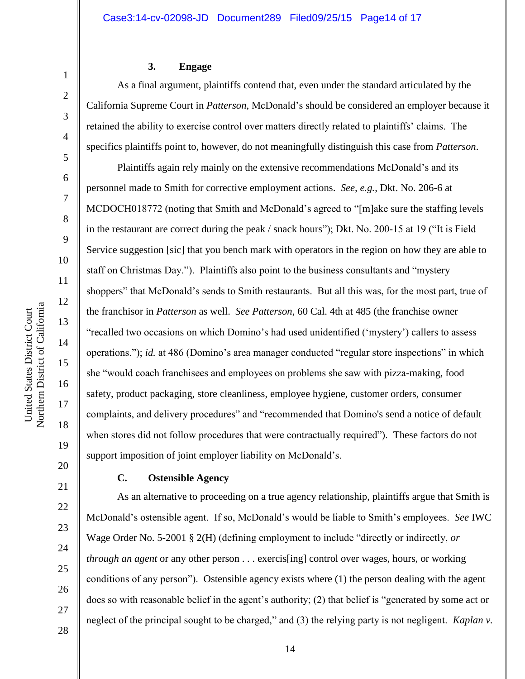#### **3. Engage**

As a final argument, plaintiffs contend that, even under the standard articulated by the California Supreme Court in *Patterson*, McDonald's should be considered an employer because it retained the ability to exercise control over matters directly related to plaintiffs' claims. The specifics plaintiffs point to, however, do not meaningfully distinguish this case from *Patterson*.

Plaintiffs again rely mainly on the extensive recommendations McDonald's and its personnel made to Smith for corrective employment actions. *See, e.g.*, Dkt. No. 206-6 at MCDOCH018772 (noting that Smith and McDonald's agreed to "[m]ake sure the staffing levels in the restaurant are correct during the peak / snack hours"); Dkt. No. 200-15 at 19 ("It is Field Service suggestion [sic] that you bench mark with operators in the region on how they are able to staff on Christmas Day."). Plaintiffs also point to the business consultants and "mystery shoppers" that McDonald's sends to Smith restaurants. But all this was, for the most part, true of the franchisor in *Patterson* as well. *See Patterson*, 60 Cal. 4th at 485 (the franchise owner "recalled two occasions on which Domino's had used unidentified ('mystery') callers to assess operations."); *id.* at 486 (Domino's area manager conducted "regular store inspections" in which she "would coach franchisees and employees on problems she saw with pizza-making, food safety, product packaging, store cleanliness, employee hygiene, customer orders, consumer complaints, and delivery procedures" and "recommended that Domino's send a notice of default when stores did not follow procedures that were contractually required"). These factors do not support imposition of joint employer liability on McDonald's.

### **C. Ostensible Agency**

As an alternative to proceeding on a true agency relationship, plaintiffs argue that Smith is McDonald's ostensible agent. If so, McDonald's would be liable to Smith's employees. *See* IWC Wage Order No. 5-2001 § 2(H) (defining employment to include "directly or indirectly, *or through an agent* or any other person . . . exercis[ing] control over wages, hours, or working conditions of any person"). Ostensible agency exists where (1) the person dealing with the agent does so with reasonable belief in the agent's authority; (2) that belief is "generated by some act or neglect of the principal sought to be charged," and (3) the relying party is not negligent. *Kaplan v.* 

14

1

2

3

4

5

6

7

8

9

10

11

12

13

14

15

16

17

18

19

20

21

22

23

24

25

26

27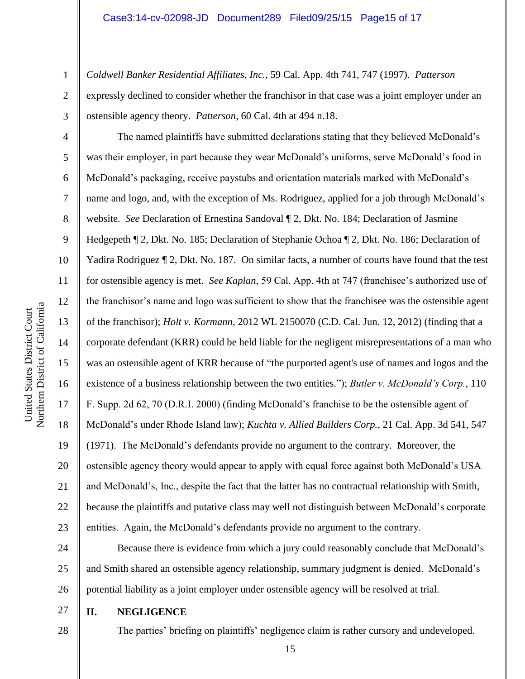*Coldwell Banker Residential Affiliates, Inc.*, 59 Cal. App. 4th 741, 747 (1997). *Patterson* expressly declined to consider whether the franchisor in that case was a joint employer under an ostensible agency theory. *Patterson,* 60 Cal. 4th at 494 n.18.

The named plaintiffs have submitted declarations stating that they believed McDonald's was their employer, in part because they wear McDonald's uniforms, serve McDonald's food in McDonald's packaging, receive paystubs and orientation materials marked with McDonald's name and logo, and, with the exception of Ms. Rodriguez, applied for a job through McDonald's website. *See* Declaration of Ernestina Sandoval ¶ 2, Dkt. No. 184; Declaration of Jasmine Hedgepeth ¶ 2, Dkt. No. 185; Declaration of Stephanie Ochoa ¶ 2, Dkt. No. 186; Declaration of Yadira Rodriguez ¶ 2, Dkt. No. 187. On similar facts, a number of courts have found that the test for ostensible agency is met. *See Kaplan*, 59 Cal. App. 4th at 747 (franchisee's authorized use of the franchisor's name and logo was sufficient to show that the franchisee was the ostensible agent of the franchisor); *Holt v. Kormann*, 2012 WL 2150070 (C.D. Cal. Jun. 12, 2012) (finding that a corporate defendant (KRR) could be held liable for the negligent misrepresentations of a man who was an ostensible agent of KRR because of "the purported agent's use of names and logos and the existence of a business relationship between the two entities."); *Butler v. McDonald's Corp.*, 110 F. Supp. 2d 62, 70 (D.R.I. 2000) (finding McDonald's franchise to be the ostensible agent of McDonald's under Rhode Island law); *Kuchta v. Allied Builders Corp.*, 21 Cal. App. 3d 541, 547 (1971). The McDonald's defendants provide no argument to the contrary. Moreover, the ostensible agency theory would appear to apply with equal force against both McDonald's USA and McDonald's, Inc., despite the fact that the latter has no contractual relationship with Smith, because the plaintiffs and putative class may well not distinguish between McDonald's corporate entities. Again, the McDonald's defendants provide no argument to the contrary.

24 25 26 Because there is evidence from which a jury could reasonably conclude that McDonald's and Smith shared an ostensible agency relationship, summary judgment is denied. McDonald's potential liability as a joint employer under ostensible agency will be resolved at trial.

27 **II. NEGLIGENCE**

28

The parties' briefing on plaintiffs' negligence claim is rather cursory and undeveloped.

1

2

3

4

5

6

7

8

9

10

11

12

13

14

15

16

17

18

19

20

21

22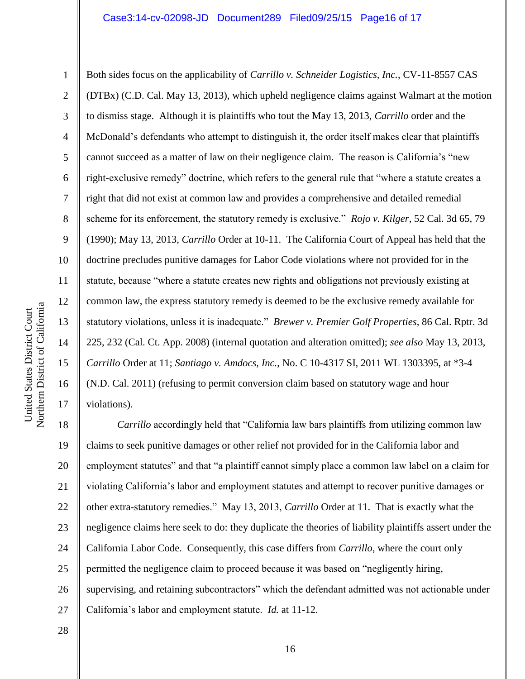1 2 3 4 5 6 7 8 9 10 11 12 13 14 15 16 17 Both sides focus on the applicability of *Carrillo v. Schneider Logistics, Inc.*, CV-11-8557 CAS (DTBx) (C.D. Cal. May 13, 2013), which upheld negligence claims against Walmart at the motion to dismiss stage. Although it is plaintiffs who tout the May 13, 2013, *Carrillo* order and the McDonald's defendants who attempt to distinguish it, the order itself makes clear that plaintiffs cannot succeed as a matter of law on their negligence claim. The reason is California's "new right-exclusive remedy" doctrine, which refers to the general rule that "where a statute creates a right that did not exist at common law and provides a comprehensive and detailed remedial scheme for its enforcement, the statutory remedy is exclusive." *Rojo v. Kilger*, 52 Cal. 3d 65, 79 (1990); May 13, 2013, *Carrillo* Order at 10-11. The California Court of Appeal has held that the doctrine precludes punitive damages for Labor Code violations where not provided for in the statute, because "where a statute creates new rights and obligations not previously existing at common law, the express statutory remedy is deemed to be the exclusive remedy available for statutory violations, unless it is inadequate." *Brewer v. Premier Golf Properties*, 86 Cal. Rptr. 3d 225, 232 (Cal. Ct. App. 2008) (internal quotation and alteration omitted); *see also* May 13, 2013, *Carrillo* Order at 11; *Santiago v. Amdocs, Inc.*, No. C 10-4317 SI, 2011 WL 1303395, at \*3-4 (N.D. Cal. 2011) (refusing to permit conversion claim based on statutory wage and hour violations).

18 19 20 21 22 23 24 25 26 27 *Carrillo* accordingly held that "California law bars plaintiffs from utilizing common law claims to seek punitive damages or other relief not provided for in the California labor and employment statutes" and that "a plaintiff cannot simply place a common law label on a claim for violating California's labor and employment statutes and attempt to recover punitive damages or other extra-statutory remedies." May 13, 2013, *Carrillo* Order at 11. That is exactly what the negligence claims here seek to do: they duplicate the theories of liability plaintiffs assert under the California Labor Code. Consequently, this case differs from *Carrillo*, where the court only permitted the negligence claim to proceed because it was based on "negligently hiring, supervising, and retaining subcontractors" which the defendant admitted was not actionable under California's labor and employment statute. *Id.* at 11-12.